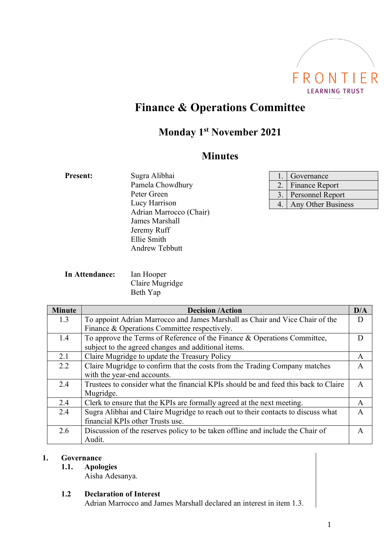

# **Finance & Operations Committee**

# **Monday 1 st November 2021**

# **Minutes**

| <b>Present:</b> | Sugra Alibhai           |
|-----------------|-------------------------|
|                 | Pamela Chowdhury        |
|                 | Peter Green             |
|                 | Lucy Harrison           |
|                 | Adrian Marrocco (Chair) |
|                 | James Marshall          |
|                 | Jeremy Ruff             |
|                 | Ellie Smith             |
|                 | Andrew Tebbutt          |
|                 |                         |

|    | Governance              |
|----|-------------------------|
| 2. | <b>Finance Report</b>   |
|    | <b>Personnel Report</b> |
| 4. | Any Other Business      |

**In Attendance:** Ian Hooper Claire Mugridge Beth Yap

| <b>Minute</b> | <b>Decision /Action</b>                                                             | D/A          |
|---------------|-------------------------------------------------------------------------------------|--------------|
| 1.3           | To appoint Adrian Marrocco and James Marshall as Chair and Vice Chair of the        |              |
|               | Finance & Operations Committee respectively.                                        |              |
| 1.4           | To approve the Terms of Reference of the Finance & Operations Committee,            |              |
|               | subject to the agreed changes and additional items.                                 |              |
| 2.1           | Claire Mugridge to update the Treasury Policy                                       | A            |
| 2.2           | Claire Mugridge to confirm that the costs from the Trading Company matches          | $\mathsf{A}$ |
|               | with the year-end accounts.                                                         |              |
| 2.4           | Trustees to consider what the financial KPIs should be and feed this back to Claire | $\mathsf{A}$ |
|               | Mugridge.                                                                           |              |
| 2.4           | Clerk to ensure that the KPIs are formally agreed at the next meeting.              | A            |
| 2.4           | Sugra Alibhai and Claire Mugridge to reach out to their contacts to discuss what    | A            |
|               | financial KPIs other Trusts use.                                                    |              |
| 2.6           | Discussion of the reserves policy to be taken offline and include the Chair of      | A            |
|               | Audit.                                                                              |              |

# **1. Governance**

**1.1. Apologies**

Aisha Adesanya.

**1.2 Declaration of Interest**

Adrian Marrocco and James Marshall declared an interest in item 1.3.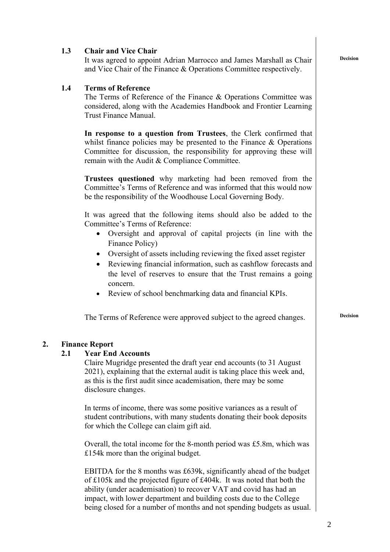|    | 1.3 | <b>Chair and Vice Chair</b><br>It was agreed to appoint Adrian Marrocco and James Marshall as Chair<br>and Vice Chair of the Finance & Operations Committee respectively.                                                                                                                                                                                            | <b>Decision</b> |
|----|-----|----------------------------------------------------------------------------------------------------------------------------------------------------------------------------------------------------------------------------------------------------------------------------------------------------------------------------------------------------------------------|-----------------|
|    | 1.4 | <b>Terms of Reference</b><br>The Terms of Reference of the Finance & Operations Committee was<br>considered, along with the Academies Handbook and Frontier Learning<br>Trust Finance Manual.                                                                                                                                                                        |                 |
|    |     | In response to a question from Trustees, the Clerk confirmed that<br>whilst finance policies may be presented to the Finance $\&$ Operations<br>Committee for discussion, the responsibility for approving these will<br>remain with the Audit & Compliance Committee.                                                                                               |                 |
|    |     | Trustees questioned why marketing had been removed from the<br>Committee's Terms of Reference and was informed that this would now<br>be the responsibility of the Woodhouse Local Governing Body.                                                                                                                                                                   |                 |
|    |     | It was agreed that the following items should also be added to the<br>Committee's Terms of Reference:<br>Oversight and approval of capital projects (in line with the<br>$\bullet$<br>Finance Policy)                                                                                                                                                                |                 |
|    |     | Oversight of assets including reviewing the fixed asset register<br>$\bullet$<br>Reviewing financial information, such as cashflow forecasts and<br>$\bullet$<br>the level of reserves to ensure that the Trust remains a going<br>concern.                                                                                                                          |                 |
|    |     | Review of school benchmarking data and financial KPIs.<br>$\bullet$                                                                                                                                                                                                                                                                                                  |                 |
|    |     | The Terms of Reference were approved subject to the agreed changes.                                                                                                                                                                                                                                                                                                  | <b>Decision</b> |
| 2. | 2.1 | <b>Finance Report</b><br><b>Year End Accounts</b><br>Claire Mugridge presented the draft year end accounts (to 31 August)<br>2021), explaining that the external audit is taking place this week and,<br>as this is the first audit since academisation, there may be some                                                                                           |                 |
|    |     | disclosure changes.                                                                                                                                                                                                                                                                                                                                                  |                 |
|    |     | In terms of income, there was some positive variances as a result of<br>student contributions, with many students donating their book deposits<br>for which the College can claim gift aid.                                                                                                                                                                          |                 |
|    |     | Overall, the total income for the 8-month period was £5.8m, which was<br>£154 $k$ more than the original budget.                                                                                                                                                                                                                                                     |                 |
|    |     | EBITDA for the 8 months was £639k, significantly ahead of the budget<br>of £105k and the projected figure of £404k. It was noted that both the<br>ability (under academisation) to recover VAT and covid has had an<br>impact, with lower department and building costs due to the College<br>being closed for a number of months and not spending budgets as usual. |                 |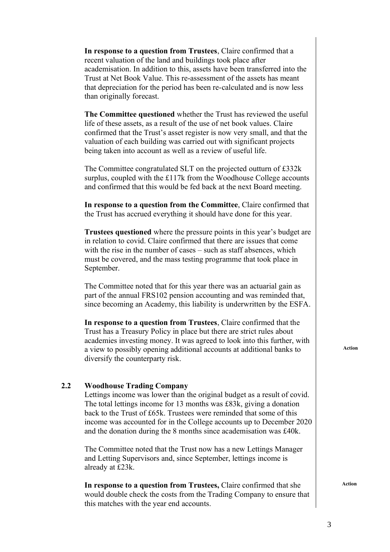|     | In response to a question from Trustees, Claire confirmed that a<br>recent valuation of the land and buildings took place after<br>academisation. In addition to this, assets have been transferred into the<br>Trust at Net Book Value. This re-assessment of the assets has meant<br>that depreciation for the period has been re-calculated and is now less<br>than originally forecast.              |
|-----|----------------------------------------------------------------------------------------------------------------------------------------------------------------------------------------------------------------------------------------------------------------------------------------------------------------------------------------------------------------------------------------------------------|
|     | The Committee questioned whether the Trust has reviewed the useful<br>life of these assets, as a result of the use of net book values. Claire<br>confirmed that the Trust's asset register is now very small, and that the<br>valuation of each building was carried out with significant projects<br>being taken into account as well as a review of useful life.                                       |
|     | The Committee congratulated SLT on the projected outturn of $\text{\pounds}332k$<br>surplus, coupled with the £117k from the Woodhouse College accounts<br>and confirmed that this would be fed back at the next Board meeting.                                                                                                                                                                          |
|     | In response to a question from the Committee, Claire confirmed that<br>the Trust has accrued everything it should have done for this year.                                                                                                                                                                                                                                                               |
|     | <b>Trustees questioned</b> where the pressure points in this year's budget are<br>in relation to covid. Claire confirmed that there are issues that come<br>with the rise in the number of cases – such as staff absences, which<br>must be covered, and the mass testing programme that took place in<br>September.                                                                                     |
|     | The Committee noted that for this year there was an actuarial gain as<br>part of the annual FRS102 pension accounting and was reminded that,<br>since becoming an Academy, this liability is underwritten by the ESFA.                                                                                                                                                                                   |
|     | In response to a question from Trustees, Claire confirmed that the<br>Trust has a Treasury Policy in place but there are strict rules about<br>academies investing money. It was agreed to look into this further, with<br>a view to possibly opening additional accounts at additional banks to<br>diversify the counterparty risk.                                                                     |
| 2.2 | <b>Woodhouse Trading Company</b><br>Lettings income was lower than the original budget as a result of covid.<br>The total lettings income for 13 months was £83k, giving a donation<br>back to the Trust of £65k. Trustees were reminded that some of this<br>income was accounted for in the College accounts up to December 2020<br>and the donation during the 8 months since academisation was £40k. |
|     | The Committee noted that the Trust now has a new Lettings Manager<br>and Letting Supervisors and, since September, lettings income is<br>already at £23k.                                                                                                                                                                                                                                                |
|     | In response to a question from Trustees, Claire confirmed that she<br>would double check the costs from the Trading Company to ensure that                                                                                                                                                                                                                                                               |

this matches with the year end accounts.

 **Action**

**Action**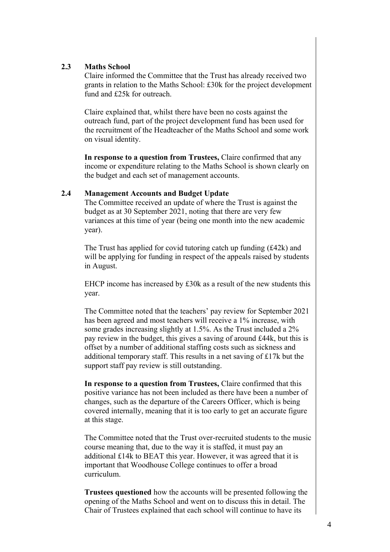# **2.3 Maths School**

Claire informed the Committee that the Trust has already received two grants in relation to the Maths School: £30k for the project development fund and £25k for outreach.

Claire explained that, whilst there have been no costs against the outreach fund, part of the project development fund has been used for the recruitment of the Headteacher of the Maths School and some work on visual identity.

**In response to a question from Trustees,** Claire confirmed that any income or expenditure relating to the Maths School is shown clearly on the budget and each set of management accounts.

# **2.4 Management Accounts and Budget Update**

The Committee received an update of where the Trust is against the budget as at 30 September 2021, noting that there are very few variances at this time of year (being one month into the new academic year).

The Trust has applied for covid tutoring catch up funding (£42k) and will be applying for funding in respect of the appeals raised by students in August.

EHCP income has increased by £30k as a result of the new students this year.

The Committee noted that the teachers' pay review for September 2021 has been agreed and most teachers will receive a 1% increase, with some grades increasing slightly at 1.5%. As the Trust included a 2% pay review in the budget, this gives a saving of around £44k, but this is offset by a number of additional staffing costs such as sickness and additional temporary staff. This results in a net saving of £17k but the support staff pay review is still outstanding.

**In response to a question from Trustees,** Claire confirmed that this positive variance has not been included as there have been a number of changes, such as the departure of the Careers Officer, which is being covered internally, meaning that it is too early to get an accurate figure at this stage.

The Committee noted that the Trust over-recruited students to the music course meaning that, due to the way it is staffed, it must pay an additional £14k to BEAT this year. However, it was agreed that it is important that Woodhouse College continues to offer a broad curriculum.

**Trustees questioned** how the accounts will be presented following the opening of the Maths School and went on to discuss this in detail. The Chair of Trustees explained that each school will continue to have its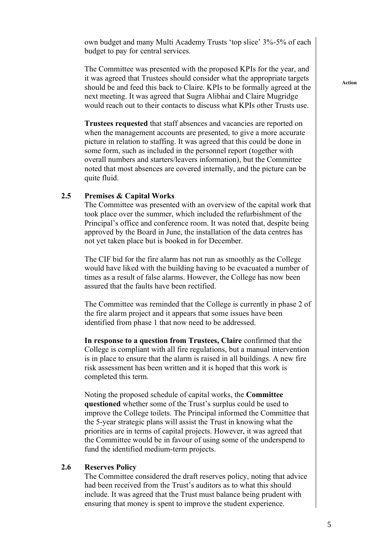own budget and many Multi Academy Trusts 'top slice' 3%-5% of each budget to pay for central services.

The Committee was presented with the proposed KPIs for the year, and it was agreed that Trustees should consider what the appropriate targets should be and feed this back to Claire. KPIs to be formally agreed at the next meeting. It was agreed that Sugra Alibhai and Claire Mugridge would reach out to their contacts to discuss what KPIs other Trusts use.

**Trustees requested** that staff absences and vacancies are reported on when the management accounts are presented, to give a more accurate picture in relation to staffing. It was agreed that this could be done in some form, such as included in the personnel report (together with overall numbers and starters/leavers information), but the Committee noted that most absences are covered internally, and the picture can be quite fluid.

#### **2.5 Premises & Capital Works**

The Committee was presented with an overview of the capital work that took place over the summer, which included the refurbishment of the Principal's office and conference room. It was noted that, despite being approved by the Board in June, the installation of the data centres has not yet taken place but is booked in for December.

The CIF bid for the fire alarm has not run as smoothly as the College would have liked with the building having to be evacuated a number of times as a result of false alarms. However, the College has now been assured that the faults have been rectified.

The Committee was reminded that the College is currently in phase 2 of the fire alarm project and it appears that some issues have been identified from phase 1 that now need to be addressed.

**In response to a question from Trustees, Claire** confirmed that the College is compliant with all fire regulations, but a manual intervention is in place to ensure that the alarm is raised in all buildings. A new fire risk assessment has been written and it is hoped that this work is completed this term.

Noting the proposed schedule of capital works, the **Committee questioned** whether some of the Trust's surplus could be used to improve the College toilets. The Principal informed the Committee that the 5-year strategic plans will assist the Trust in knowing what the priorities are in terms of capital projects. However, it was agreed that the Committee would be in favour of using some of the underspend to fund the identified medium-term projects.

#### **2.6 Reserves Policy**

The Committee considered the draft reserves policy, noting that advice had been received from the Trust's auditors as to what this should include. It was agreed that the Trust must balance being prudent with ensuring that money is spent to improve the student experience.

**Action**